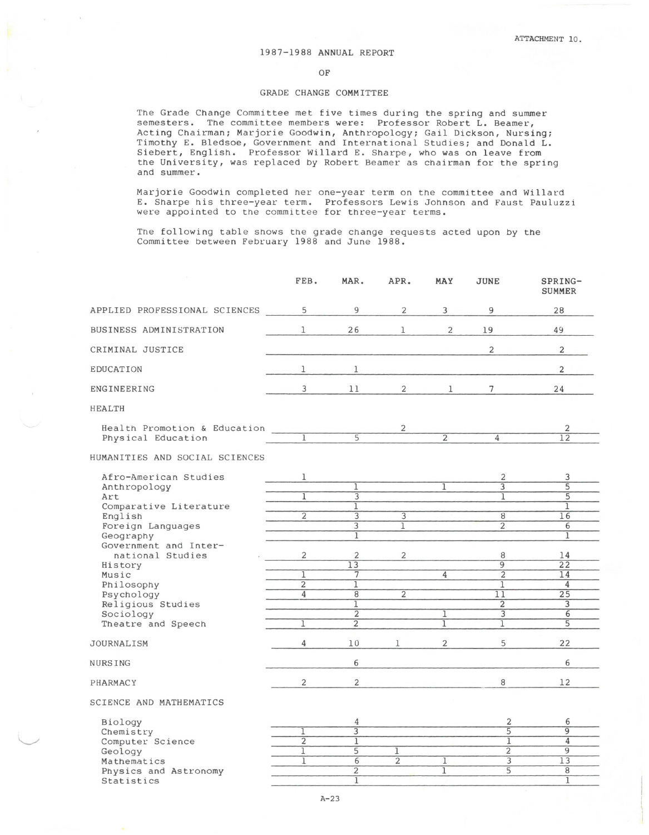## 1987-1988 ANNUAL REPORT

OF

## GRADE CHANGE COMMITTEE

The Grade Change Committee met five times during the spring and summer semesters. The committee members were: Professor Robert L. Beamer, Acting Chairman; Marjorie Goodwin, Anthropology; Gail Dickson, Nursing; Timothy E. Bledsoe, Government and International Studies; and Donald L. Siebert, English. Professor Willard E. Sharpe, who was on leave from the University, was replaced by Robert Beamer as chairman for the spring and summer.

Marjorie Goodwin completed her one-year term on the committee and Willard E. Sharpe his three-year term. Professors Lewis Johnson and Faust Pauluzzi were appointed to the committee for three-year terms.

The following table shows the grade change requests acted upon by the Committee between February 1988 and June 1988.

|                                                    | FEB.           | MAR.                             | APR.           | MAY                 | <b>JUNE</b>         | SPRING-<br><b>SUMMER</b> |
|----------------------------------------------------|----------------|----------------------------------|----------------|---------------------|---------------------|--------------------------|
| APPLIED PROFESSIONAL SCIENCES                      | 5              | 9                                | 2              | 3                   | 9                   | 28                       |
| BUSINESS ADMINISTRATION                            | 1              | 26                               | ı              | 2                   | 19                  | 49                       |
| CRIMINAL JUSTICE                                   |                |                                  |                |                     | 2                   | $\overline{2}$           |
| EDUCATION                                          | 1              | 1                                |                |                     |                     | 2                        |
| ENGINEERING                                        | 3              | 11                               | $\overline{2}$ | $\mathbf{1}$        | 7 <sup>1</sup>      | 24                       |
| <b>HEALTH</b>                                      |                |                                  |                |                     |                     |                          |
| Health Promotion & Education<br>Physical Education | $\overline{1}$ | $\overline{5}$                   | 2              | $\overline{2}$      | $\overline{4}$      | 2<br>12                  |
| HUMANITIES AND SOCIAL SCIENCES                     |                |                                  |                |                     |                     |                          |
| Afro-American Studies                              | 1              |                                  |                |                     | 2                   | 3                        |
| Anthropology                                       |                | 1                                |                | 1                   | $\overline{3}$      | $\overline{5}$           |
| Art                                                | T              | 3                                |                |                     | 1                   | $\overline{5}$           |
| Comparative Literature<br>English                  | $\overline{2}$ | $\overline{1}$<br>3              | $\overline{3}$ |                     | 8                   | $\overline{1}$<br>16     |
| Foreign Languages                                  |                | $\overline{3}$                   | $\overline{1}$ |                     | $\overline{2}$      | 6                        |
| Geography                                          |                | 1                                |                |                     |                     | 1                        |
| Government and Inter-                              |                |                                  |                |                     |                     |                          |
| national Studies                                   | $\overline{c}$ | $\overline{\mathbf{c}}$          | $\overline{2}$ |                     | 8                   | 14                       |
| History                                            |                | $\overline{13}$                  |                |                     | $\overline{9}$      | $\overline{22}$          |
| Music                                              | 1              | $\overline{7}$                   |                | 4                   | $\overline{2}$      | 14                       |
| Philosophy                                         | 2              | 1                                |                |                     | 1                   | 4                        |
| Psychology                                         | $\overline{4}$ | $\overline{8}$<br>1              | $\overline{2}$ |                     | 11<br>2             | 25<br>3                  |
| Religious Studies<br>Sociology                     |                | $\overline{2}$                   |                | 1                   | $\overline{3}$      | $\overline{6}$           |
| Theatre and Speech                                 | $\overline{1}$ | $\overline{2}$                   |                | $\overline{1}$      | 1                   | 5                        |
| <b>JOURNALISM</b>                                  | $\overline{4}$ | 10                               | $\mathbf 1$    | $\overline{2}$      | 5                   | 22                       |
| <b>NURSING</b>                                     |                | 6                                |                |                     |                     | 6                        |
| <b>PHARMACY</b>                                    | 2              | 2                                |                |                     | 8                   | 12                       |
| SCIENCE AND MATHEMATICS                            |                |                                  |                |                     |                     |                          |
| Biology                                            |                | 4                                |                |                     | 2                   | 6                        |
| Chemistry                                          | 1              | $\overline{3}$                   |                |                     | $\overline{5}$      | $\overline{9}$           |
| Computer Science                                   | $\overline{2}$ | 1                                |                |                     | 1                   | $\overline{4}$           |
| Geology                                            | 1              | $\overline{5}$                   | 1              |                     | $\overline{2}$      | $\overline{9}$           |
| Mathematics                                        | 1              | $\overline{6}$<br>$\overline{2}$ | $\overline{2}$ | $\overline{1}$<br>1 | 3<br>$\overline{5}$ | 13<br>8                  |
| Physics and Astronomy<br>Statistics                |                | $\overline{1}$                   |                |                     |                     | 1                        |
|                                                    |                |                                  |                |                     |                     |                          |